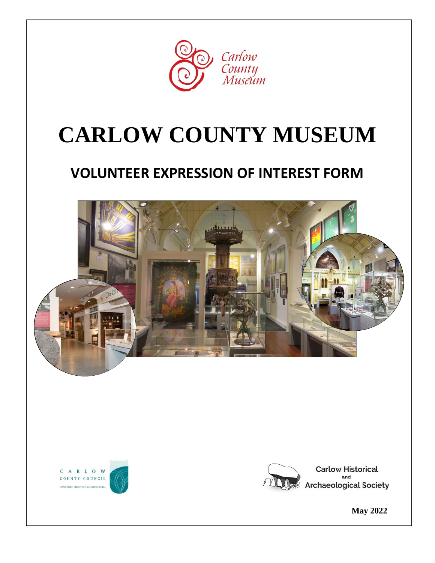

# **CARLOW COUNTY MUSEUM**

# **VOLUNTEER EXPRESSION OF INTEREST FORM**







**Carlow Historical** and **Archaeological Society** 

 **May 2022**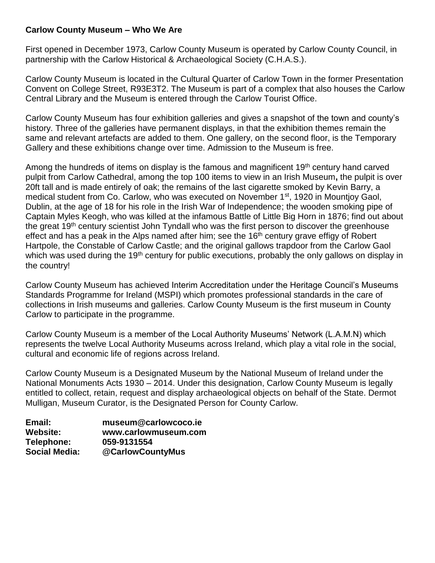#### **Carlow County Museum – Who We Are**

First opened in December 1973, Carlow County Museum is operated by Carlow County Council, in partnership with the Carlow Historical & Archaeological Society (C.H.A.S.).

Carlow County Museum is located in the Cultural Quarter of Carlow Town in the former Presentation Convent on College Street, R93E3T2. The Museum is part of a complex that also houses the Carlow Central Library and the Museum is entered through the Carlow Tourist Office.

Carlow County Museum has four exhibition galleries and gives a snapshot of the town and county's history. Three of the galleries have permanent displays, in that the exhibition themes remain the same and relevant artefacts are added to them. One gallery, on the second floor, is the Temporary Gallery and these exhibitions change over time. Admission to the Museum is free.

Among the hundreds of items on display is the famous and magnificent  $19<sup>th</sup>$  century hand carved pulpit from Carlow Cathedral, among the top 100 items to view in an Irish Museum**,** the pulpit is over 20ft tall and is made entirely of oak; the remains of the last cigarette smoked by Kevin Barry, a medical student from Co. Carlow, who was executed on November 1st, 1920 in Mountjoy Gaol, Dublin, at the age of 18 for his role in the Irish War of Independence; the wooden smoking pipe of Captain Myles Keogh, who was killed at the infamous Battle of Little Big Horn in 1876; find out about the great 19<sup>th</sup> century scientist John Tyndall who was the first person to discover the greenhouse effect and has a peak in the Alps named after him; see the  $16<sup>th</sup>$  century grave effigy of Robert Hartpole, the Constable of Carlow Castle; and the original gallows trapdoor from the Carlow Gaol which was used during the 19<sup>th</sup> century for public executions, probably the only gallows on display in the country!

Carlow County Museum has achieved Interim Accreditation under the Heritage Council's Museums Standards Programme for Ireland (MSPI) which promotes professional standards in the care of collections in Irish museums and galleries. Carlow County Museum is the first museum in County Carlow to participate in the programme.

Carlow County Museum is a member of the Local Authority Museums' Network (L.A.M.N) which represents the twelve Local Authority Museums across Ireland, which play a vital role in the social, cultural and economic life of regions across Ireland.

Carlow County Museum is a Designated Museum by the National Museum of Ireland under the National Monuments Acts 1930 – 2014. Under this designation, Carlow County Museum is legally entitled to collect, retain, request and display archaeological objects on behalf of the State. Dermot Mulligan, Museum Curator, is the Designated Person for County Carlow.

| Email:               | museum@carlowcoco.ie |
|----------------------|----------------------|
| Website:             | www.carlowmuseum.com |
| <b>Telephone:</b>    | 059-9131554          |
| <b>Social Media:</b> | @CarlowCountyMus     |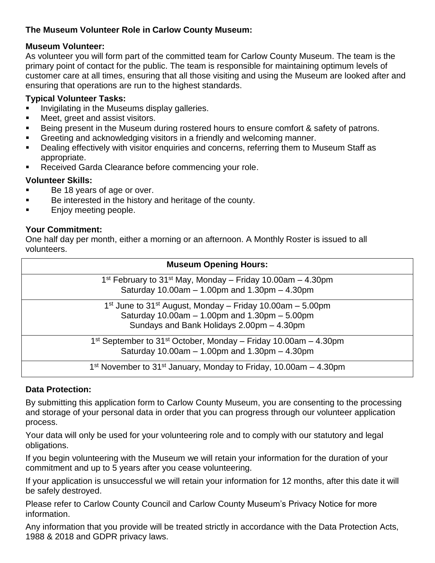### **The Museum Volunteer Role in Carlow County Museum:**

#### **Museum Volunteer:**

As volunteer you will form part of the committed team for Carlow County Museum. The team is the primary point of contact for the public. The team is responsible for maintaining optimum levels of customer care at all times, ensuring that all those visiting and using the Museum are looked after and ensuring that operations are run to the highest standards.

#### **Typical Volunteer Tasks:**

- Invigilating in the Museums display galleries.
- Meet, greet and assist visitors.
- Being present in the Museum during rostered hours to ensure comfort & safety of patrons.
- Greeting and acknowledging visitors in a friendly and welcoming manner.
- Dealing effectively with visitor enquiries and concerns, referring them to Museum Staff as appropriate.
- Received Garda Clearance before commencing your role.

### **Volunteer Skills:**

- Be 18 years of age or over.
- Be interested in the history and heritage of the county.
- Enjoy meeting people.

### **Your Commitment:**

One half day per month, either a morning or an afternoon. A Monthly Roster is issued to all volunteers.

| <b>Museum Opening Hours:</b>                                                                                                                                                                |  |
|---------------------------------------------------------------------------------------------------------------------------------------------------------------------------------------------|--|
| 1 <sup>st</sup> February to 31 <sup>st</sup> May, Monday – Friday 10.00am – 4.30pm<br>Saturday 10.00am $-$ 1.00pm and 1.30pm $-$ 4.30pm                                                     |  |
| 1 <sup>st</sup> June to 31 <sup>st</sup> August, Monday – Friday 10.00am – 5.00pm<br>Saturday $10.00$ am $- 1.00$ pm and $1.30$ pm $- 5.00$ pm<br>Sundays and Bank Holidays 2.00pm - 4.30pm |  |
| 1 <sup>st</sup> September to 31 <sup>st</sup> October, Monday – Friday 10.00am – 4.30pm<br>Saturday $10.00$ am $- 1.00$ pm and $1.30$ pm $- 4.30$ pm                                        |  |
| 1 <sup>st</sup> November to 31 <sup>st</sup> January, Monday to Friday, 10.00am $-$ 4.30pm                                                                                                  |  |

## **Data Protection:**

By submitting this application form to Carlow County Museum, you are consenting to the processing and storage of your personal data in order that you can progress through our volunteer application process.

Your data will only be used for your volunteering role and to comply with our statutory and legal obligations.

If you begin volunteering with the Museum we will retain your information for the duration of your commitment and up to 5 years after you cease volunteering.

If your application is unsuccessful we will retain your information for 12 months, after this date it will be safely destroyed.

Please refer to Carlow County Council and Carlow County Museum's Privacy Notice for more information.

Any information that you provide will be treated strictly in accordance with the Data Protection Acts, 1988 & 2018 and GDPR privacy laws.